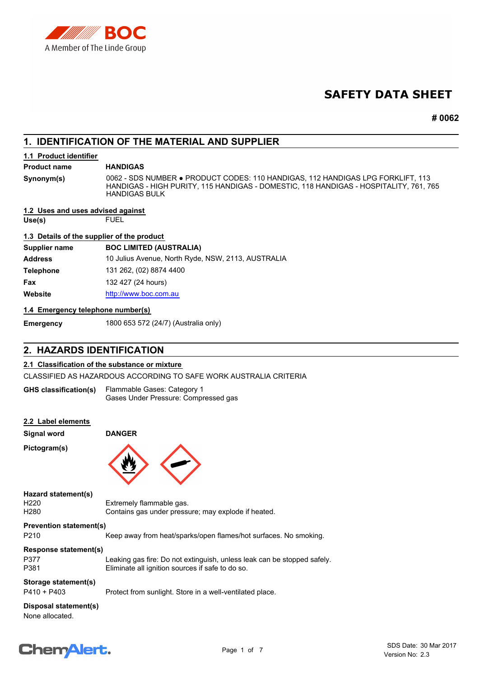

# **SAFETY DATA SHEET**

**# 0062**

# **1. IDENTIFICATION OF THE MATERIAL AND SUPPLIER**

## **1.1 Product identifier**

#### **Product name HANDIGAS**

**Synonym(s)**

0062 - SDS NUMBER ● PRODUCT CODES: 110 HANDIGAS, 112 HANDIGAS LPG FORKLIFT, 113 HANDIGAS - HIGH PURITY, 115 HANDIGAS - DOMESTIC, 118 HANDIGAS - HOSPITALITY, 761, 765 HANDIGAS BULK

## **1.2 Uses and uses advised against**

**Use(s)** FUEL

## **1.3 Details of the supplier of the product**

| Supplier name    | <b>BOC LIMITED (AUSTRALIA)</b>                     |
|------------------|----------------------------------------------------|
| <b>Address</b>   | 10 Julius Avenue, North Ryde, NSW, 2113, AUSTRALIA |
| <b>Telephone</b> | 131 262, (02) 8874 4400                            |
| Fax              | 132 427 (24 hours)                                 |
| Website          | http://www.boc.com.au                              |

## **1.4 Emergency telephone number(s)**

**Emergency** 1800 653 572 (24/7) (Australia only)

# **2. HAZARDS IDENTIFICATION**

## **2.1 Classification of the substance or mixture**

CLASSIFIED AS HAZARDOUS ACCORDING TO SAFE WORK AUSTRALIA CRITERIA

| <b>GHS classification(s)</b> | Flammable Gases: Category 1          |
|------------------------------|--------------------------------------|
|                              | Gases Under Pressure: Compressed gas |

| 2.2 Label elements<br><b>Signal word</b>                    | <b>DANGER</b>                                                                                                               |
|-------------------------------------------------------------|-----------------------------------------------------------------------------------------------------------------------------|
| Pictogram(s)                                                |                                                                                                                             |
| Hazard statement(s)<br>H <sub>220</sub><br>H <sub>280</sub> | Extremely flammable gas.<br>Contains gas under pressure; may explode if heated.                                             |
| <b>Prevention statement(s)</b>                              |                                                                                                                             |
| P <sub>210</sub>                                            | Keep away from heat/sparks/open flames/hot surfaces. No smoking.                                                            |
| Response statement(s)                                       |                                                                                                                             |
| P377<br>P381                                                | Leaking gas fire: Do not extinguish, unless leak can be stopped safely.<br>Eliminate all ignition sources if safe to do so. |
| Storage statement(s)                                        |                                                                                                                             |
| $P410 + P403$                                               | Protect from sunlight. Store in a well-ventilated place.                                                                    |
| Disposal statement(s)<br>None allocated.                    |                                                                                                                             |

# **Chemalert.**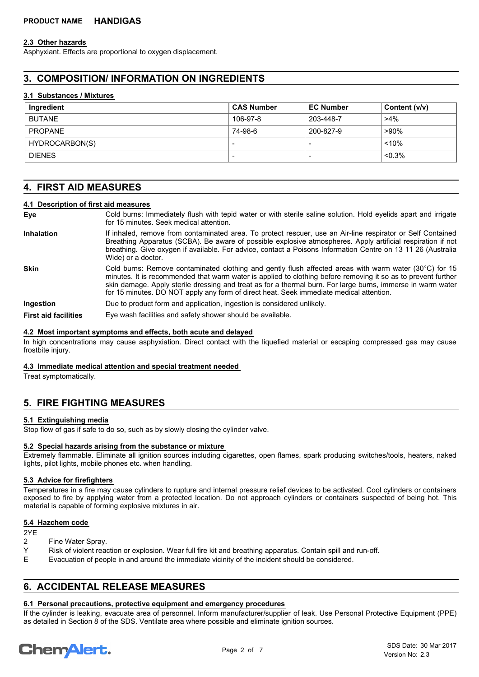## **2.3 Other hazards**

Asphyxiant. Effects are proportional to oxygen displacement.

# **3. COMPOSITION/ INFORMATION ON INGREDIENTS**

## **3.1 Substances / Mixtures**

| Ingredient     | <b>CAS Number</b>        | <b>EC Number</b> | Content (v/v) |
|----------------|--------------------------|------------------|---------------|
| <b>BUTANE</b>  | 106-97-8                 | 203-448-7        | $>4\%$        |
| PROPANE        | 74-98-6                  | 200-827-9        | ∍90%          |
| HYDROCARBON(S) | $\overline{\phantom{0}}$ |                  | < 10%         |
| <b>DIENES</b>  | $\overline{\phantom{0}}$ |                  | $< 0.3\%$     |

## **4. FIRST AID MEASURES**

## **4.1 Description of first aid measures**

**Eye**

Cold burns: Immediately flush with tepid water or with sterile saline solution. Hold eyelids apart and irrigate for 15 minutes. Seek medical attention.

If inhaled, remove from contaminated area. To protect rescuer, use an Air-line respirator or Self Contained Breathing Apparatus (SCBA). Be aware of possible explosive atmospheres. Apply artificial respiration if not breathing. Give oxygen if available. For advice, contact a Poisons Information Centre on 13 11 26 (Australia Wide) or a doctor. **Inhalation**

Cold burns: Remove contaminated clothing and gently flush affected areas with warm water (30°C) for 15 minutes. It is recommended that warm water is applied to clothing before removing it so as to prevent further skin damage. Apply sterile dressing and treat as for a thermal burn. For large burns, immerse in warm water for 15 minutes. DO NOT apply any form of direct heat. Seek immediate medical attention. **Skin**

**Ingestion** Due to product form and application, ingestion is considered unlikely.

**First aid facilities** Eye wash facilities and safety shower should be available.

## **4.2 Most important symptoms and effects, both acute and delayed**

In high concentrations may cause asphyxiation. Direct contact with the liquefied material or escaping compressed gas may cause frostbite injury.

## **4.3 Immediate medical attention and special treatment needed**

Treat symptomatically.

## **5. FIRE FIGHTING MEASURES**

## **5.1 Extinguishing media**

Stop flow of gas if safe to do so, such as by slowly closing the cylinder valve.

## **5.2 Special hazards arising from the substance or mixture**

Extremely flammable. Eliminate all ignition sources including cigarettes, open flames, spark producing switches/tools, heaters, naked lights, pilot lights, mobile phones etc. when handling.

## **5.3 Advice for firefighters**

Temperatures in a fire may cause cylinders to rupture and internal pressure relief devices to be activated. Cool cylinders or containers exposed to fire by applying water from a protected location. Do not approach cylinders or containers suspected of being hot. This material is capable of forming explosive mixtures in air.

#### **5.4 Hazchem code**

2YE

- 2 Fine Water Spray.
- Y Risk of violent reaction or explosion. Wear full fire kit and breathing apparatus. Contain spill and run-off.
- E Evacuation of people in and around the immediate vicinity of the incident should be considered.

# **6. ACCIDENTAL RELEASE MEASURES**

## **6.1 Personal precautions, protective equipment and emergency procedures**

If the cylinder is leaking, evacuate area of personnel. Inform manufacturer/supplier of leak. Use Personal Protective Equipment (PPE) as detailed in Section 8 of the SDS. Ventilate area where possible and eliminate ignition sources.

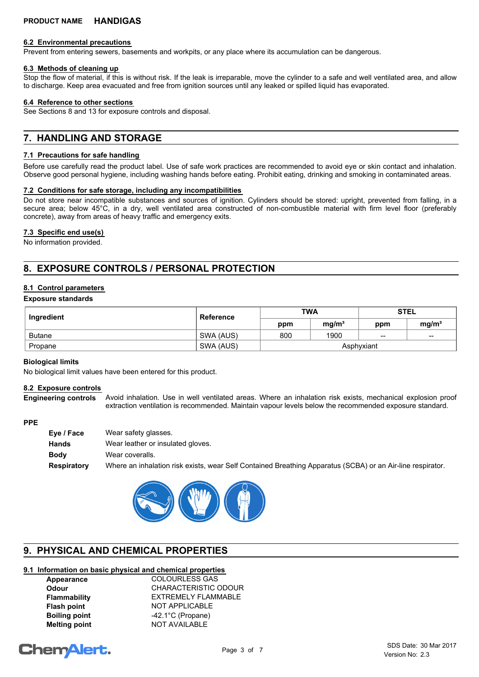## **6.2 Environmental precautions**

Prevent from entering sewers, basements and workpits, or any place where its accumulation can be dangerous.

## **6.3 Methods of cleaning up**

Stop the flow of material, if this is without risk. If the leak is irreparable, move the cylinder to a safe and well ventilated area, and allow to discharge. Keep area evacuated and free from ignition sources until any leaked or spilled liquid has evaporated.

## **6.4 Reference to other sections**

See Sections 8 and 13 for exposure controls and disposal.

# **7. HANDLING AND STORAGE**

## **7.1 Precautions for safe handling**

Before use carefully read the product label. Use of safe work practices are recommended to avoid eye or skin contact and inhalation. Observe good personal hygiene, including washing hands before eating. Prohibit eating, drinking and smoking in contaminated areas.

## **7.2 Conditions for safe storage, including any incompatibilities**

Do not store near incompatible substances and sources of ignition. Cylinders should be stored: upright, prevented from falling, in a secure area; below 45°C, in a dry, well ventilated area constructed of non-combustible material with firm level floor (preferably concrete), away from areas of heavy traffic and emergency exits.

## **7.3 Specific end use(s)**

No information provided.

# **8. EXPOSURE CONTROLS / PERSONAL PROTECTION**

## **8.1 Control parameters**

## **Exposure standards**

| Ingredient    | <b>Reference</b> | <b>TWA</b> |                   | <b>STEL</b> |                   |
|---------------|------------------|------------|-------------------|-------------|-------------------|
|               |                  | ppm        | mg/m <sup>3</sup> | ppm         | mg/m <sup>3</sup> |
| <b>Butane</b> | SWA (AUS)        | 800        | 1900              | $-$         | $- -$             |
| Propane       | SWA (AUS)        |            |                   | Asphyxiant  |                   |

#### **Biological limits**

No biological limit values have been entered for this product.

#### **8.2 Exposure controls**

Avoid inhalation. Use in well ventilated areas. Where an inhalation risk exists, mechanical explosion proof extraction ventilation is recommended. Maintain vapour levels below the recommended exposure standard. **Engineering controls**

#### **PPE**

| Eye / Face  | Wear safety glasses.                                                                                       |
|-------------|------------------------------------------------------------------------------------------------------------|
| Hands       | Wear leather or insulated gloves.                                                                          |
| Body        | Wear coveralls.                                                                                            |
| Respiratory | Where an inhalation risk exists, wear Self Contained Breathing Apparatus (SCBA) or an Air-line respirator. |



# **9. PHYSICAL AND CHEMICAL PROPERTIES**

## **9.1 Information on basic physical and chemical properties**

Appearance **COLOURLESS GAS Odour** CHARACTERISTIC ODOUR **Flammability** EXTREMELY FLAMMABLE **Flash point** NOT APPLICABLE **Boiling point** -42.1°C (Propane) **Melting point MOT AVAILABLE** 

# **ChemAlert.**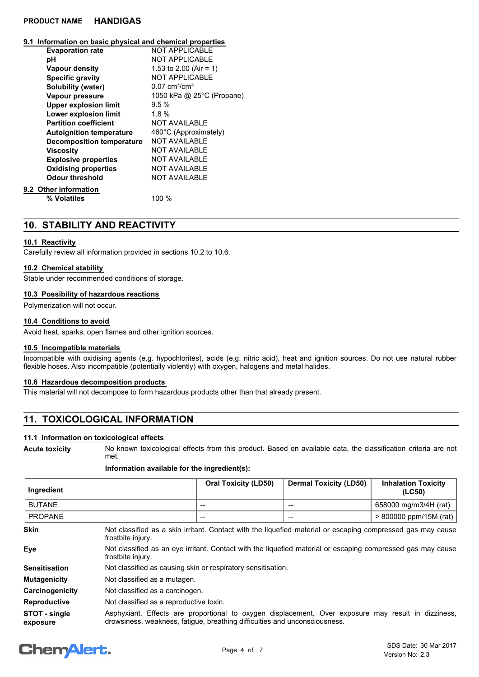#### **9.1 Information on basic physical and chemical properties**

| <b>Evaporation rate</b>          | NOT APPI ICABI F                |
|----------------------------------|---------------------------------|
| рH                               | <b>NOT APPLICABLE</b>           |
| <b>Vapour density</b>            | 1.53 to 2.00 (Air = 1)          |
| <b>Specific gravity</b>          | <b>NOT APPLICABLE</b>           |
| Solubility (water)               | $0.07 \text{ cm}^3/\text{cm}^3$ |
| Vapour pressure                  | 1050 kPa @ 25°C (Propane)       |
| <b>Upper explosion limit</b>     | $9.5\%$                         |
| Lower explosion limit            | 1.8%                            |
| <b>Partition coefficient</b>     | <b>NOT AVAILABLE</b>            |
| <b>Autoignition temperature</b>  | 460°C (Approximately)           |
| <b>Decomposition temperature</b> | NOT AVAILABLE                   |
| Viscosity                        | <b>NOT AVAILABLE</b>            |
| <b>Explosive properties</b>      | <b>NOT AVAILABLE</b>            |
| <b>Oxidising properties</b>      | <b>NOT AVAILABLE</b>            |
| Odour threshold                  | <b>NOT AVAILABLE</b>            |
| Other information                |                                 |
| % Volatiles                      | 100 %                           |
|                                  |                                 |

## **10. STABILITY AND REACTIVITY**

#### **10.1 Reactivity**

**9.2** 

Carefully review all information provided in sections 10.2 to 10.6.

#### **10.2 Chemical stability**

Stable under recommended conditions of storage.

## **10.3 Possibility of hazardous reactions**

Polymerization will not occur.

#### **10.4 Conditions to avoid**

Avoid heat, sparks, open flames and other ignition sources.

## **10.5 Incompatible materials**

Incompatible with oxidising agents (e.g. hypochlorites), acids (e.g. nitric acid), heat and ignition sources. Do not use natural rubber flexible hoses. Also incompatible (potentially violently) with oxygen, halogens and metal halides.

## **10.6 Hazardous decomposition products**

This material will not decompose to form hazardous products other than that already present.

# **11. TOXICOLOGICAL INFORMATION**

## **11.1 Information on toxicological effects**

No known toxicological effects from this product. Based on available data, the classification criteria are not met. **Acute toxicity**

#### **Information available for the ingredient(s):**

| Ingredient     |                                                                                                                                  | <b>Oral Toxicity (LD50)</b> | <b>Dermal Toxicity (LD50)</b> | <b>Inhalation Toxicity</b><br>(LC50) |
|----------------|----------------------------------------------------------------------------------------------------------------------------------|-----------------------------|-------------------------------|--------------------------------------|
| <b>BUTANE</b>  |                                                                                                                                  | $- -$                       |                               | 658000 mg/m3/4H (rat)                |
| <b>PROPANE</b> |                                                                                                                                  | $-$                         | --                            | > 800000 ppm/15M (rat)               |
| <b>Skin</b>    | Not classified as a skin irritant. Contact with the liquefied material or escaping compressed gas may cause<br>frostbite injury. |                             |                               |                                      |
| Eye            | Not classified as an eye irritant. Contact with the liquefied material or escaping compressed gas may cause                      |                             |                               |                                      |

| ⊨у≂             | TWO CROSSING as an OVG in Rant. Obtitable with the induction matched or coodpling compressed gas may cause<br>frostbite injury. |
|-----------------|---------------------------------------------------------------------------------------------------------------------------------|
| Sensitisation   | Not classified as causing skin or respiratory sensitisation.                                                                    |
| Mutagenicity    | Not classified as a mutagen.                                                                                                    |
| Carcinogenicity | Not classified as a carcinogen.                                                                                                 |

**Reproductive** Not classified as a reproductive toxin.

Asphyxiant. Effects are proportional to oxygen displacement. Over exposure may result in dizziness, drowsiness, weakness, fatigue, breathing difficulties and unconsciousness. **STOT - single exposure**

# **ChemAlert.**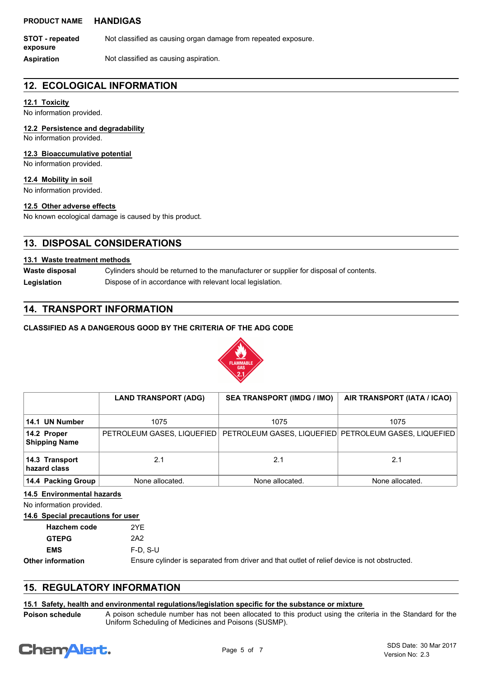**STOT - repeated** Not classified as causing organ damage from repeated exposure. **exposure**

**Aspiration** Not classified as causing aspiration.

## **12. ECOLOGICAL INFORMATION**

## **12.1 Toxicity**

No information provided.

**12.2 Persistence and degradability**

No information provided.

## **12.3 Bioaccumulative potential**

No information provided.

**12.4 Mobility in soil**

No information provided.

## **12.5 Other adverse effects**

No known ecological damage is caused by this product.

# **13. DISPOSAL CONSIDERATIONS**

## **13.1 Waste treatment methods**

Cylinders should be returned to the manufacturer or supplier for disposal of contents. **Waste disposal** Legislation **Dispose of in accordance with relevant local legislation.** 

# **14. TRANSPORT INFORMATION**

## **CLASSIFIED AS A DANGEROUS GOOD BY THE CRITERIA OF THE ADG CODE**



|                                        | <b>LAND TRANSPORT (ADG)</b> | <b>SEA TRANSPORT (IMDG / IMO)</b>                                                    | AIR TRANSPORT (IATA / ICAO) |
|----------------------------------------|-----------------------------|--------------------------------------------------------------------------------------|-----------------------------|
| 14.1 UN Number                         | 1075                        | 1075                                                                                 | 1075                        |
| $ 14.2$ Proper<br><b>Shipping Name</b> |                             | PETROLEUM GASES, LIQUEFIED   PETROLEUM GASES, LIQUEFIED   PETROLEUM GASES, LIQUEFIED |                             |
| 14.3 Transport<br>hazard class         | 2.1                         | 2.1                                                                                  | 2.1                         |
| 14.4 Packing Group                     | None allocated.             | None allocated.                                                                      | None allocated.             |

**14.5 Environmental hazards**

No information provided.

## **14.6 Special precautions for user**

| Hazchem code             | 2YF             |
|--------------------------|-----------------|
| <b>GTEPG</b>             | 2A2             |
| <b>EMS</b>               | $F-D. S-U$      |
| <b>Other information</b> | Ensure cylinder |

is separated from driver and that outlet of relief device is not obstructed.

# **15. REGULATORY INFORMATION**

## **15.1 Safety, health and environmental regulations/legislation specific for the substance or mixture**

A poison schedule number has not been allocated to this product using the criteria in the Standard for the Uniform Scheduling of Medicines and Poisons (SUSMP). **Poison schedule**

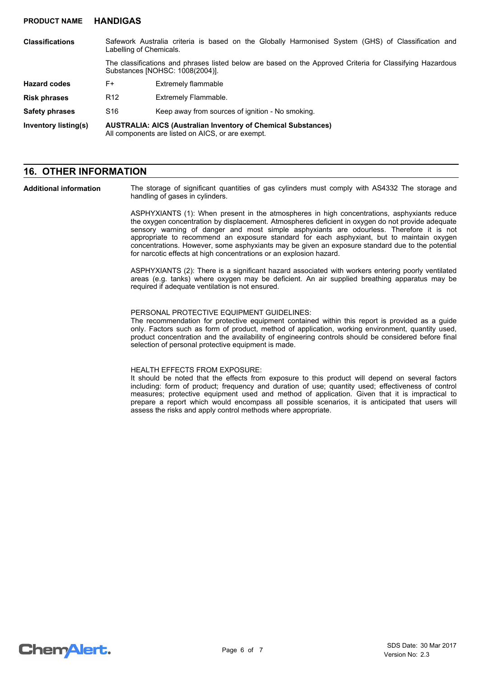| <b>Classifications</b> | Labelling of Chemicals.                                                                                                   | Safework Australia criteria is based on the Globally Harmonised System (GHS) of Classification and                                           |  |
|------------------------|---------------------------------------------------------------------------------------------------------------------------|----------------------------------------------------------------------------------------------------------------------------------------------|--|
|                        |                                                                                                                           | The classifications and phrases listed below are based on the Approved Criteria for Classifying Hazardous<br>Substances [NOHSC: 1008(2004)]. |  |
| <b>Hazard codes</b>    | F+                                                                                                                        | Extremely flammable                                                                                                                          |  |
| <b>Risk phrases</b>    | R <sub>12</sub>                                                                                                           | Extremely Flammable.                                                                                                                         |  |
| <b>Safety phrases</b>  | S <sub>16</sub>                                                                                                           | Keep away from sources of ignition - No smoking.                                                                                             |  |
| Inventory listing(s)   | <b>AUSTRALIA: AICS (Australian Inventory of Chemical Substances)</b><br>All components are listed on AICS, or are exempt. |                                                                                                                                              |  |

## **16. OTHER INFORMATION**

**Additional information**

The storage of significant quantities of gas cylinders must comply with AS4332 The storage and handling of gases in cylinders.

ASPHYXIANTS (1): When present in the atmospheres in high concentrations, asphyxiants reduce the oxygen concentration by displacement. Atmospheres deficient in oxygen do not provide adequate sensory warning of danger and most simple asphyxiants are odourless. Therefore it is not appropriate to recommend an exposure standard for each asphyxiant, but to maintain oxygen concentrations. However, some asphyxiants may be given an exposure standard due to the potential for narcotic effects at high concentrations or an explosion hazard.

ASPHYXIANTS (2): There is a significant hazard associated with workers entering poorly ventilated areas (e.g. tanks) where oxygen may be deficient. An air supplied breathing apparatus may be required if adequate ventilation is not ensured.

## PERSONAL PROTECTIVE EQUIPMENT GUIDELINES:

The recommendation for protective equipment contained within this report is provided as a guide only. Factors such as form of product, method of application, working environment, quantity used, product concentration and the availability of engineering controls should be considered before final selection of personal protective equipment is made.

#### HEALTH EFFECTS FROM EXPOSURE:

It should be noted that the effects from exposure to this product will depend on several factors including: form of product; frequency and duration of use; quantity used; effectiveness of control measures; protective equipment used and method of application. Given that it is impractical to prepare a report which would encompass all possible scenarios, it is anticipated that users will assess the risks and apply control methods where appropriate.